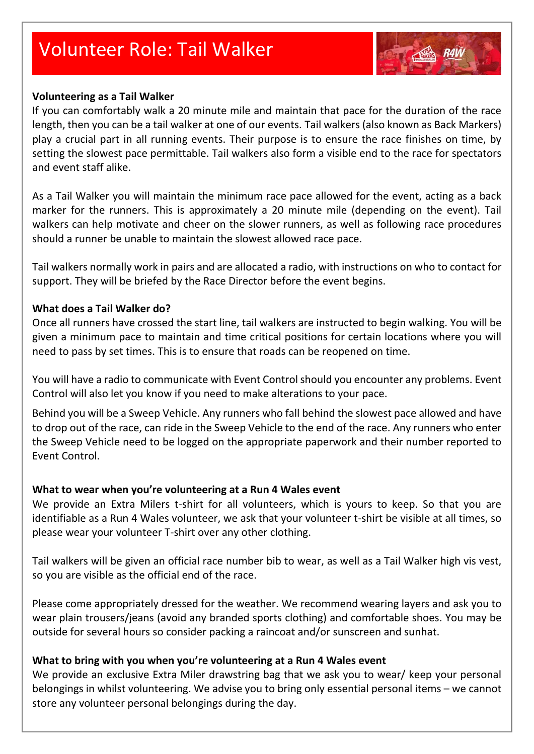# Volunteer Role: Tail Walker

#### **Volunteering as a Tail Walker**

If you can comfortably walk a 20 minute mile and maintain that pace for the duration of the race length, then you can be a tail walker at one of our events. Tail walkers (also known as Back Markers) play a crucial part in all running events. Their purpose is to ensure the race finishes on time, by setting the slowest pace permittable. Tail walkers also form a visible end to the race for spectators and event staff alike.

As a Tail Walker you will maintain the minimum race pace allowed for the event, acting as a back marker for the runners. This is approximately a 20 minute mile (depending on the event). Tail walkers can help motivate and cheer on the slower runners, as well as following race procedures should a runner be unable to maintain the slowest allowed race pace.

Tail walkers normally work in pairs and are allocated a radio, with instructions on who to contact for support. They will be briefed by the Race Director before the event begins.

#### **What does a Tail Walker do?**

Once all runners have crossed the start line, tail walkers are instructed to begin walking. You will be given a minimum pace to maintain and time critical positions for certain locations where you will need to pass by set times. This is to ensure that roads can be reopened on time.

You will have a radio to communicate with Event Control should you encounter any problems. Event Control will also let you know if you need to make alterations to your pace.

Behind you will be a Sweep Vehicle. Any runners who fall behind the slowest pace allowed and have to drop out of the race, can ride in the Sweep Vehicle to the end of the race. Any runners who enter the Sweep Vehicle need to be logged on the appropriate paperwork and their number reported to Event Control.

## **What to wear when you're volunteering at a Run 4 Wales event**

We provide an Extra Milers t-shirt for all volunteers, which is yours to keep. So that you are identifiable as a Run 4 Wales volunteer, we ask that your volunteer t-shirt be visible at all times, so please wear your volunteer T-shirt over any other clothing.

Tail walkers will be given an official race number bib to wear, as well as a Tail Walker high vis vest, so you are visible as the official end of the race.

Please come appropriately dressed for the weather. We recommend wearing layers and ask you to wear plain trousers/jeans (avoid any branded sports clothing) and comfortable shoes. You may be outside for several hours so consider packing a raincoat and/or sunscreen and sunhat.

## **What to bring with you when you're volunteering at a Run 4 Wales event**

We provide an exclusive Extra Miler drawstring bag that we ask you to wear/ keep your personal belongings in whilst volunteering. We advise you to bring only essential personal items – we cannot store any volunteer personal belongings during the day.